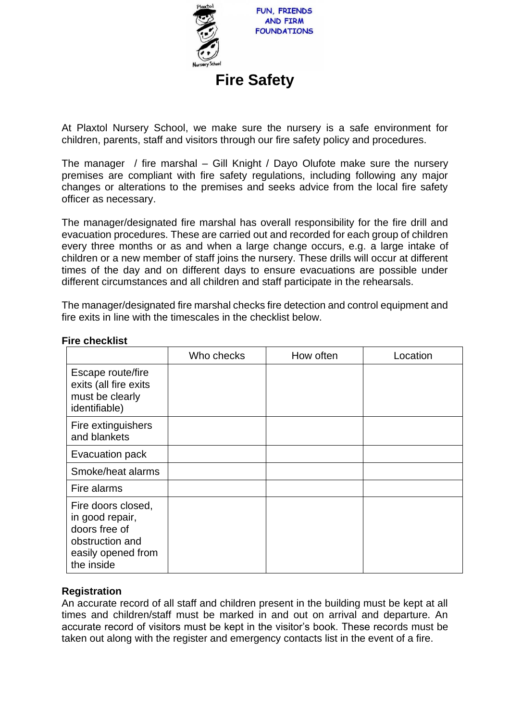

At Plaxtol Nursery School, we make sure the nursery is a safe environment for children, parents, staff and visitors through our fire safety policy and procedures.

The manager / fire marshal – Gill Knight / Dayo Olufote make sure the nursery premises are compliant with fire safety regulations, including following any major changes or alterations to the premises and seeks advice from the local fire safety officer as necessary.

The manager/designated fire marshal has overall responsibility for the fire drill and evacuation procedures. These are carried out and recorded for each group of children every three months or as and when a large change occurs, e.g. a large intake of children or a new member of staff joins the nursery. These drills will occur at different times of the day and on different days to ensure evacuations are possible under different circumstances and all children and staff participate in the rehearsals.

The manager/designated fire marshal checks fire detection and control equipment and fire exits in line with the timescales in the checklist below.

|                                                                                                               | Who checks | How often | Location |
|---------------------------------------------------------------------------------------------------------------|------------|-----------|----------|
| Escape route/fire<br>exits (all fire exits<br>must be clearly<br>identifiable)                                |            |           |          |
| Fire extinguishers<br>and blankets                                                                            |            |           |          |
| Evacuation pack                                                                                               |            |           |          |
| Smoke/heat alarms                                                                                             |            |           |          |
| Fire alarms                                                                                                   |            |           |          |
| Fire doors closed,<br>in good repair,<br>doors free of<br>obstruction and<br>easily opened from<br>the inside |            |           |          |

# **Fire checklist**

## **Registration**

An accurate record of all staff and children present in the building must be kept at all times and children/staff must be marked in and out on arrival and departure. An accurate record of visitors must be kept in the visitor's book. These records must be taken out along with the register and emergency contacts list in the event of a fire.